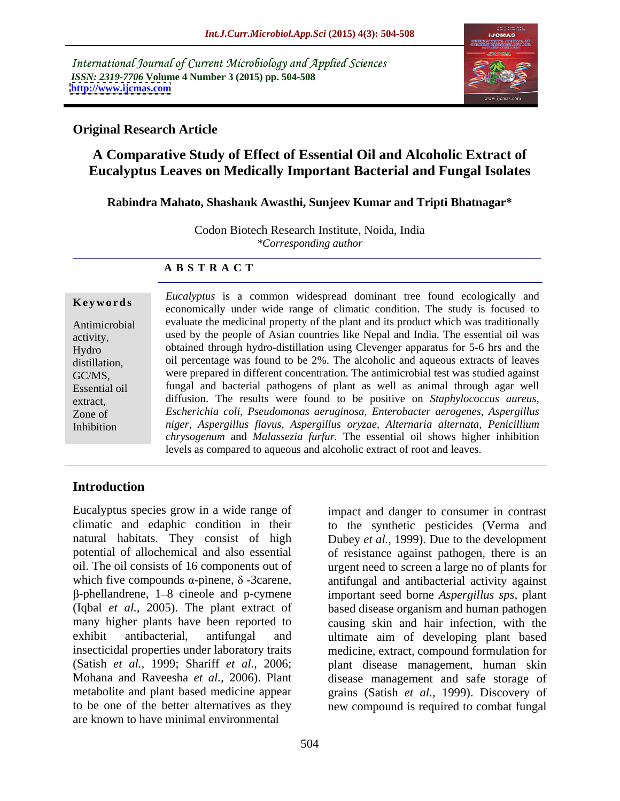International Journal of Current Microbiology and Applied Sciences *ISSN: 2319-7706* **Volume 4 Number 3 (2015) pp. 504-508 <http://www.ijcmas.com>**



### **Original Research Article**

# **A Comparative Study of Effect of Essential Oil and Alcoholic Extract of Eucalyptus Leaves on Medically Important Bacterial and Fungal Isolates**

### **Rabindra Mahato, Shashank Awasthi, Sunjeev Kumar and Tripti Bhatnagar\***

Codon Biotech Research Institute, Noida, India *\*Corresponding author*

### **A B S T R A C T**

Inhibition

*Eucalyptus* is a common widespread dominant tree found ecologically and **Keywords** Electrypias is a common widespical dominant accretion cologically and economically under wide range of climatic condition. The study is focused to evaluate the medicinal property of the plant and its product which was traditionally Antimicrobial used by the people of Asian countries like Nepal and India. The essential oil was activity, obtained through hydro-distillation using Clevenger apparatus for 5-6 hrs and the Hydro distillation, oil percentage was found to be 2%. The alcoholic and aqueous extracts of leaves were prepared in different concentration. The antimicrobial test was studied against GC/MS, fungal and bacterial pathogens of plant as well as animal through agar well Essential oil extract, diffusion. The results were found to be positive on *Staphylococcus aureus*, *Escherichia coli*, *Pseudomonas aeruginosa, Enterobacter aerogenes, Aspergillus* Zone of *niger, Aspergillus flavus, Aspergillus oryzae, Alternaria alternata, Penicillium chrysogenum* and *Malassezia furfur.* The essential oil shows higher inhibition levels as compared to aqueous and alcoholic extract of root and leaves.

# **Introduction**

Eucalyptus species grow in a wide range of impact and danger to consumer in contrast climatic and edaphic condition in their natural habitats. They consist of high Dubey *et al.,* 1999). Due to the development potential of allochemical and also essential of resistance against pathogen, there is an oil. The oil consists of 16 components out of urgent need to screen a large no of plants for which five compounds  $\alpha$ -pinene,  $\delta$ -3carene, antifungal and antibacterial activity against<br> $\beta$ -phellandrene, 1–8 cineole and p-cymene important seed borne *Aspergillus sps*, plant (Iqbal *et al.,* 2005). The plant extract of based disease organism and human pathogen many higher plants have been reported to causing skin and hair infection, with the exhibit antibacterial, antifungal and ultimate aim of developing plant based insecticidal properties under laboratory traits medicine, extract, compound formulation for (Satish *et al.,* 1999; Shariff *et al.,* 2006; plant disease management, human skin Mohana and Raveesha *et al.,* 2006). Plant disease management and safe storage of metabolite and plant based medicine appear grains (Satish *et al.,* 1999). Discovery of to be one of the better alternatives as they new compound is required to combat fungal are known to have minimal environmental

antifungal and antibacterial activity against important seed borne *Aspergillus sps*, plant

to the synthetic pesticides (Verma and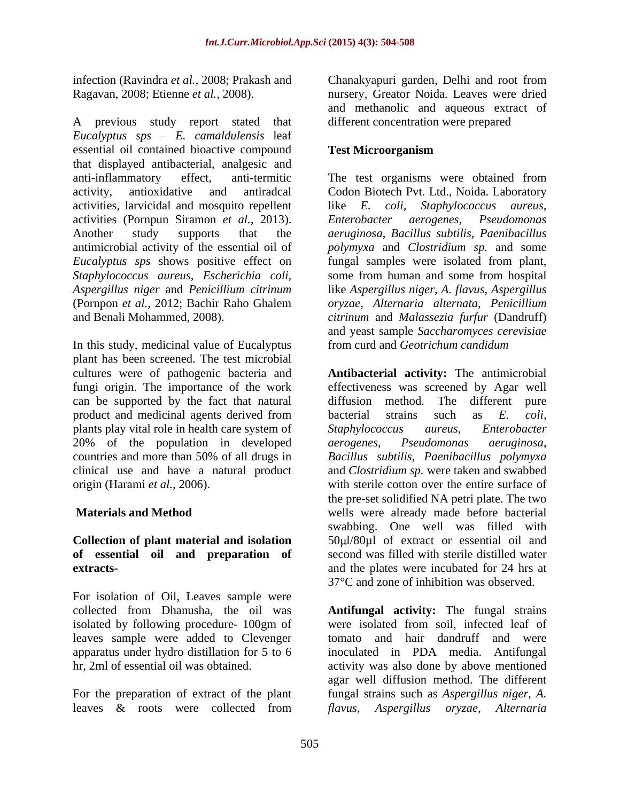A previous study report stated that *Eucalyptus sps E. camaldulensis* leaf essential oil contained bioactive compound Test Microorganism that displayed antibacterial, analgesic and anti-inflammatory effect, anti-termitic The test organisms were obtained from activity, antioxidative and antiradcal Codon Biotech Pvt. Ltd., Noida. Laboratory activities, larvicidal and mosquito repellent like E. coli, activities (Pornpun Siramon *et al.,* 2013). Another study supports that the *aeruginosa*, *Bacillus subtilis, Paenibacillus*  antimicrobial activity of the essential oil of *polymyxa* and *Clostridium sp.* and some *Eucalyptus sps* shows positive effect on fungal samples were isolated from plant, *Staphylococcus aureus, Escherichia coli,*  some from human and some from hospital *Aspergillus niger* and *Penicillium citrinum* like *Aspergillus niger, A. flavus, Aspergillus* (Pornpon *et al.,* 2012; Bachir Raho Ghalem *oryzae, Alternaria alternata, Penicillium* and Benali Mohammed, 2008). *citrinum* and *Malassezia furfur* (Dandruff)

In this study, medicinal value of Eucalyptus from curd and Geotrichum candidum plant has been screened. The test microbial can be supported by the fact that natural diffusion method. The different pure product and medicinal agents derived from bacterial strains such as E. coli, plants play vital role in health care system of Staphylococcus aureus, Enterobacter 20% of the population in developed aerogenes, Pseudomonas aeruginosa,

# **Collection of plant material and isolation of essential oil and preparation of**

For isolation of Oil, Leaves sample were isolated by following procedure- 100gm of leaves sample were added to Clevenger<br>apparatus under hydro distillation for 5 to 6

infection (Ravindra *et al.,* 2008; Prakash and Chanakyapuri garden, Delhi and root from Ragavan, 2008; Etienne *et al.,* 2008). nursery, Greator Noida. Leaves were dried and methanolic and aqueous extract of different concentration were prepared

## **Test Microorganism**

like *E. coli, Staphylococcus aureus, Enterobacter aerogenes, Pseudomonas* and yeast sample *Saccharomyces cerevisiae* from curd and *Geotrichum candidum*

cultures were of pathogenic bacteria and **Antibacterial activity:** The antimicrobial fungi origin. The importance of the work effectiveness was screened by Agar well countries and more than 50% of all drugs in Bacillus subtilis, Paenibacillus polymyxa clinical use and have a natural product and *Clostridium sp.* were taken and swabbed origin (Harami *et al.,* 2006). with sterile cotton over the entire surface of  **Materials and Method** wells were already made before bacterial **extracts-** and the plates were incubated for 24 hrs at diffusion method. The different pure bacterial strains such as *E. coli, Staphylococcus aureus, Enterobacter aerogenes, Pseudomonas aeruginosa*, *Bacillussubtilis, Paenibacillus polymyxa* the pre-set solidified NA petri plate. The two swabbing. One well was filled with 50 l/80µl of extract or essential oil and second was filled with sterile distilled water 37°C and zone of inhibition was observed.

collected from Dhanusha, the oil was **Antifungal activity:** The fungal strains apparatus under hydro distillation for 5 to 6 inoculated in PDA media. Antifungal hr, 2ml of essential oil was obtained. activity was also done by above mentioned For the preparation of extract of the plant fungal strains such as *Aspergillus niger, A.* leaves & roots were collected from flavus, Aspergillus oryzae, Alternaria were isolated from soil, infected leaf of tomato and hair dandruff and were agar well diffusion method. The different *flavus, Aspergillus oryzae, Alternaria*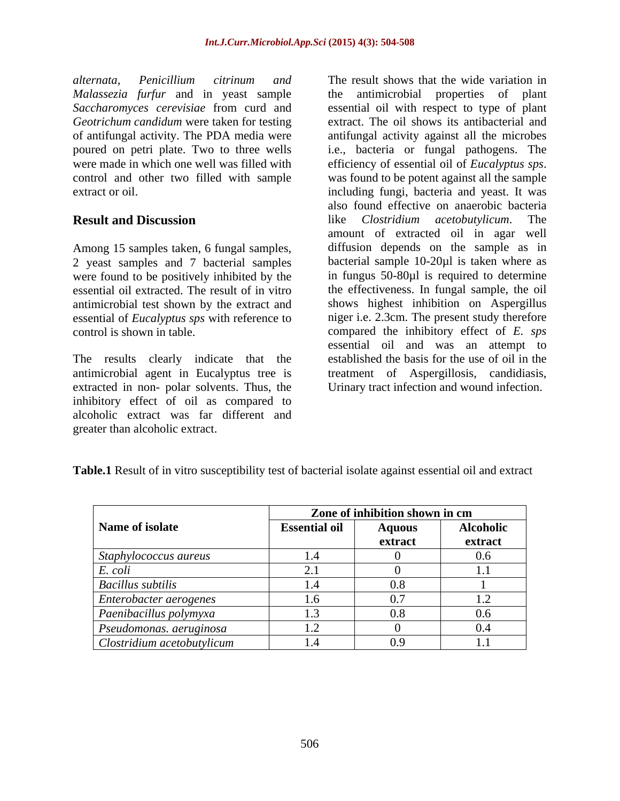*alternata, Penicillium citrinum and* The result shows that the wide variation in were made in which one well was filled with efficiency of essential oil of *Eucalyptus sps*. control and other two filled with sample was found to be potent against all the sample

were found to be positively inhibited by the essential oil extracted. The result of in vitro antimicrobial test shown by the extract and essential of *Eucalyptus sps* with reference to

The results clearly indicate that the antimicrobial agent in Eucalyptus tree is treatment of Aspergillosis, candidiasis, antimicrobial agent in Eucalyptus tree is treatment of Aspergillosis, candidiasis, extracted in non- polar solvents. Thus, the Urinary tract infection and wound infection. inhibitory effect of oil as compared to alcoholic extract was far different and greater than alcoholic extract.

*Malassezia furfur* and in yeast sample the antimicrobial properties of plant *Saccharomyces cerevisiae* from curd and essential oil with respect to type of plant *Geotrichum candidum* were taken for testing extract. The oil shows its antibacterial and of antifungal activity. The PDA media were antifungal activity against all the microbes poured on petri plate. Two to three wells i.e., bacteria or fungal pathogens. The extract or oil. including fungi, bacteria and yeast. It was **Result and Discussion Example 2 I** ike *Clostridium acetobutylicum*. The Among 15 samples taken, 6 fungal samples, diffusion depends on the sample as in<br>2 yeast samples and 7 bacterial samples bacterial sample 10-20µl is taken where as essential oil extracted. The result of in vitro the effectiveness. In fungal sample, the oil control is shown in table. compared the inhibitory effect of *E. sps* efficiency of essential oil of *Eucalyptus sps*. was found to be potent against all the sample also found effective on anaerobic bacteria like *Clostridium acetobutylicum*. The amount of extracted oil in agar well diffusion depends on the sample as in bacterial sample 10-20µl is taken where as in fungus 50-80µl is required to determine shows highest inhibition on Aspergillus niger i.e. 2.3cm. The present study therefore essential oil and was an attempt to established the basis for the use of oil in the

|                                    | Zone of inhibition shown in cm |               |                       |
|------------------------------------|--------------------------------|---------------|-----------------------|
| Name of isolate                    | <b>Essential oil</b>           | <b>Aquous</b> | <b>Alcoholic</b>      |
|                                    |                                | extract       | extract               |
| Staphylococcus aureus              |                                |               | $\sim$ $\sim$<br>U.G. |
| E. coli                            |                                |               |                       |
| <b>Bacillus subtilis</b>           |                                |               |                       |
| Enterobacter aerogenes             | 1.6                            |               | $\mathbf{1.2}$        |
| Paenibacillus polymyxa             |                                |               | U.N.                  |
| $\vert$ Pseudomonas. aeruginosa    | 1.2                            |               |                       |
| $\vert$ Clostridium acetobutylicum |                                |               |                       |

**Table.1** Result of in vitro susceptibility test of bacterial isolate against essential oil and extract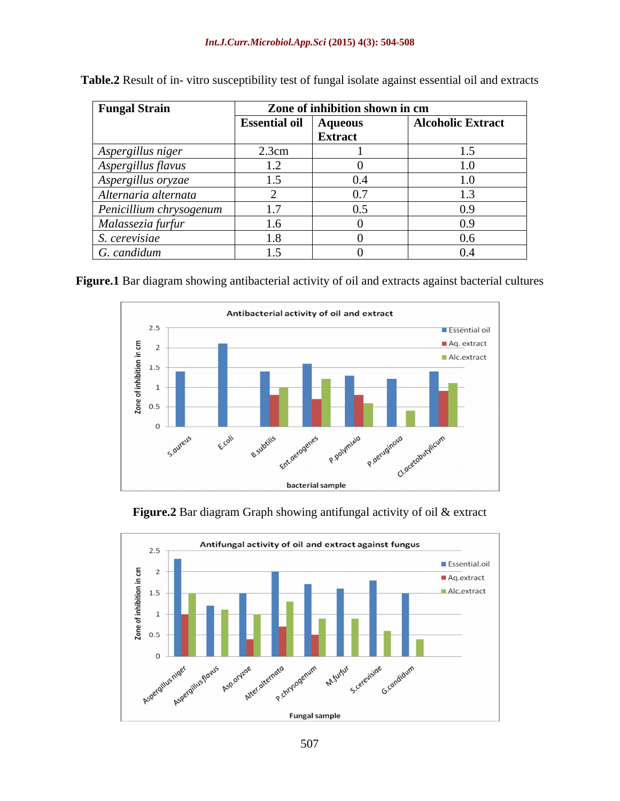| <b>Fungal Strain</b>    |                              | Zone of inhibition shown in cm |                          |  |
|-------------------------|------------------------------|--------------------------------|--------------------------|--|
|                         | <b>Essential oil</b> Aqueous |                                | <b>Alcoholic Extract</b> |  |
| Aspergillus niger       | 2.3cm                        | Extract                        |                          |  |
| Aspergillus flavus      |                              |                                |                          |  |
| Aspergillus oryzae      |                              |                                |                          |  |
| Alternaria alternata    |                              |                                |                          |  |
| Penicillium chrysogenum | $\sim$                       |                                |                          |  |
| Malassezia furfur       |                              |                                |                          |  |
| S. cerevisiae           |                              |                                |                          |  |
| G. candidum             |                              |                                |                          |  |

**Table.2** Result of in- vitro susceptibility test of fungal isolate against essential oil and extracts

**Figure.1** Bar diagram showing antibacterial activity of oil and extracts against bacterial cultures